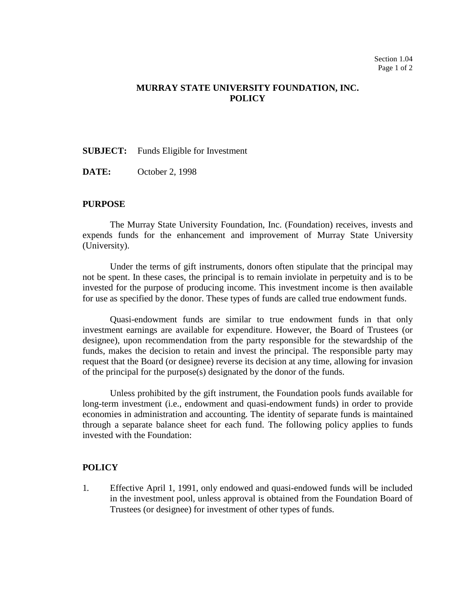## **MURRAY STATE UNIVERSITY FOUNDATION, INC. POLICY**

**SUBJECT:** Funds Eligible for Investment

**DATE:** October 2, 1998

## **PURPOSE**

The Murray State University Foundation, Inc. (Foundation) receives, invests and expends funds for the enhancement and improvement of Murray State University (University).

Under the terms of gift instruments, donors often stipulate that the principal may not be spent. In these cases, the principal is to remain inviolate in perpetuity and is to be invested for the purpose of producing income. This investment income is then available for use as specified by the donor. These types of funds are called true endowment funds.

Quasi-endowment funds are similar to true endowment funds in that only investment earnings are available for expenditure. However, the Board of Trustees (or designee), upon recommendation from the party responsible for the stewardship of the funds, makes the decision to retain and invest the principal. The responsible party may request that the Board (or designee) reverse its decision at any time, allowing for invasion of the principal for the purpose(s) designated by the donor of the funds.

Unless prohibited by the gift instrument, the Foundation pools funds available for long-term investment (i.e., endowment and quasi-endowment funds) in order to provide economies in administration and accounting. The identity of separate funds is maintained through a separate balance sheet for each fund. The following policy applies to funds invested with the Foundation:

## **POLICY**

1. Effective April 1, 1991, only endowed and quasi-endowed funds will be included in the investment pool, unless approval is obtained from the Foundation Board of Trustees (or designee) for investment of other types of funds.